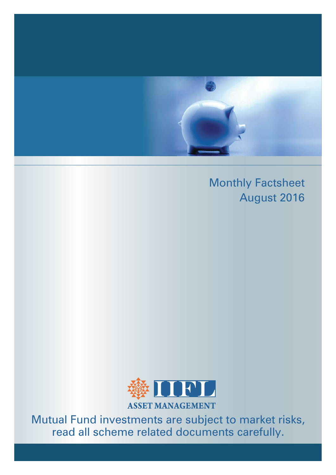

# Monthly Factsheet August 2016



Mutual Fund investments are subject to market risks, read all scheme related documents carefully.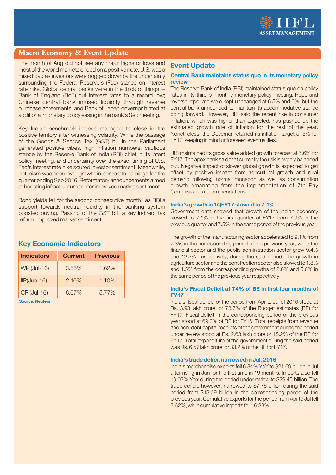

### **Macro Economy & Event Update**

The month of Aug did not see any major highs or lows and most of the world markets ended on a positive note, U.S. was a mixed bag as investors were bogged down by the uncertainty surrounding the Federal Reserve's (Fed) stance on interest rate hike. Global central banks were in the thick of things --Bank of England (BoE) cut interest rates to a record low; Chinese central bank infused liquidity through reverse purchase agreements, and Bank of Japan governor hinted at additional monetary policy easing in the bank's Sep meeting.

Key Indian benchmark indices managed to close in the positive territory after witnessing volatility. While the passage of the Goods & Service Tax (GST) bill in the Parliament generated positive vibes, high inflation numbers, cautious stance by the Reserve Bank of India (RBI) chief in its latest policy meeting, and uncertainty over the exact timing of U.S. Fed's interest rate hike soured investor sentiment. Meanwhile, optimism was seen over growth in corporate earnings for the quarter ending Sep 2016. Reformatory announcements aimed at boosting infrastructure sector improved market sentiment.

Bond yields fell for the second consecutive month as RBI's support towards neutral liquidity in the banking system boosted buying. Passing of the GST bill, a key indirect tax reform, improved market sentiment.

### **Key Economic Indicators**

| <b>Indicators</b>  | <b>Current</b> | <b>Previous</b> |
|--------------------|----------------|-----------------|
| <b>WPI(Jul-16)</b> | $3.55\%$       | 1.62%           |
| $IP(Jun-16)$       | 2.10%          | 1.10%           |
| <b>CPI(Jul-16)</b> | 6.07%          | 5.77%           |

Source: Reuters

### **Event Update**

#### Central Bank maintains status quo in its monetary policy review

The Reserve Bank of India (RBI) maintained status quo on policy rates in its third bi-monthly monetary policy meeting. Repo and reverse repo rate were kept unchanged at 6.5% and 6%, but the central bank announced to maintain its accommodative stance going forward. However, RBI said the recent rise in consumer inflation, which was higher than expected, has pushed up the estimated growth rate of inflation for the rest of the year. Nonetheless, the Governor retained its inflation target of 5% for FY17, keeping in mind unforeseen eventualities.

RBI maintained its gross value added growth forecast at 7.6% for FY17. The apex bank said that currently the risk is evenly balanced out. Negative impact of slower global growth is expected to get offset by positive impact from agricultural growth and rural demand following normal monsoon as well as consumption growth emanating from the implementation of 7th Pay Commission's recommendations.

#### India's growth in 1QFY17 slowed to 7.1%

Government data showed that growth of the Indian economy slowed to 7.1% in the first quarter of FY17 from 7.9% in the previous quarter and 7.5% in the same period of the previous year.

The growth of the manufacturing sector accelerated to 9.1% from 7.3% in the corresponding period of the previous year, while the financial sector and the public administration sector grew 9.4% and 12.3%, respectively, during the said period. The growth in agriculture sector and the construction sector also slowed to 1.8% and 1.5% from the corresponding growths of 2.6% and 5.6% in the same period of the previous year respectively.

#### India's Fiscal Deficit at 74% of RF in first four months of **FY17**

India's fiscal deficit for the period from Apr to Jul of 2016 stood at Rs. 3.93 lakh crore, or 73.7% of the Budget estimates (BE) for FY17. Fiscal deficit in the corresponding period of the previous year stood at 69.3% of BE for FY16. Total receipts from revenue and non-debt capital receipts of the government during the period under review stood at Rs. 2.63 lakh crore or 18.2% of the BE for FY17. Total expenditure of the government during the said period was Rs. 6.57 lakh crore, or 33.2% of the BE for FY17.

#### India's trade deficit narrowed in Jul, 2016

India's merchandise exports fell 6.84% YoY to \$21.69 billion in Jul after rising in Jun for the first time in 19 months. Imports also fell 19.03% YoY during the period under review to \$29.45 billion. The trade deficit, however, narrowed to \$7.76 billion during the said period from \$13.09 billion in the corresponding period of the previous year. Cumulative exports for the period from Apr to Jul fell 3.62%, while cumulative imports fell 16.33%.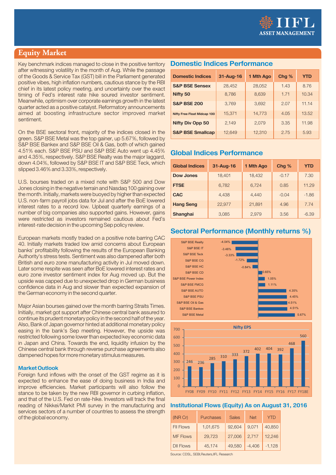

### **Equity Market**

Key benchmark indices managed to close in the positive territory after witnessing volatility in the month of Aug. While the passage of the Goods & Service Tax (GST) bill in the Parliament generated positive vibes, high inflation numbers, cautious stance by the RBI chief in its latest policy meeting, and uncertainty over the exact timing of Fed's interest rate hike soured investor sentiment. Meanwhile, optimism over corporate earnings growth in the latest quarter acted as a positive catalyst. Reformatory announcements aimed at boosting infrastructure sector improved market sentiment.

On the BSE sectoral front, majority of the indices closed in the green. S&P BSE Metal was the top gainer, up 5.67%, followed by S&P BSE Bankex and S&P BSE Oil & Gas, both of which gained 4.51% each. S&P BSE PSU and S&P BSE Auto went up 4.45% and 4.35%, respectively, S&P BSE Realty was the major laggard. down 4.04%, followed by S&P BSE IT and S&P BSE Teck, which slipped 3.46% and 3.33%, respectively.

U.S. bourses traded on a mixed note with S&P 500 and Dow Jones closing in the negative terrain and Nasdag 100 gaining over the month. Initially, markets were buoyed by higher than expected U.S. non-farm payroll jobs data for Jul and after the BoE lowered interest rates to a record low. Upbeat quarterly earnings of a number of big companies also supported gains. However, gains were restricted as investors remained cautious about Fed's interest-rate decision in the upcoming Sep policy review.

European markets mostly traded on a positive note barring CAC 40. Initially markets traded low amid concerns about European banks' profitability following the results of the European Banking Authority's stress tests. Sentiment was also dampened after both British and euro zone manufacturing activity in Jul moved down. Later some respite was seen after BoE lowered interest rates and euro zone investor sentiment index for Aug moved up. But the upside was capped due to unexpected drop in German business confidence data in Aug and slower than expected expansion of the German economy in the second quarter.

Major Asian bourses gained over the month barring Straits Times. Initially, market got support after Chinese central bank assured to continue its prudent monetary policy in the second half of the year. Also, Bank of Japan governor hinted at additional monetary policy easing in the bank's Sep meeting. However, the upside was restricted following some lower than expected key economic data in Japan and China. Towards the end. liquidity infusion by the Chinese central bank through reverse purchase agreements also dampened hopes for more monetary stimulus measures.

#### **Market Outlook**

Foreign fund inflows with the onset of the GST regime as it is expected to enhance the ease of doing business in India and improve efficiencies. Market participants will also follow the stance to be taken by the new RBI governor in curbing inflation, and that of the U.S. Fed on rate-hike, Investors will track the final reading of Nikkei/Markit PMI survey in the manufacturing and services sectors of a number of countries to assess the strength of the global economy.

### **Domestic Indices Performance**

| <b>Domestic Indices</b>            | 31-Aug-16 | 1 Mth Ago | Chg % | <b>YTD</b> |
|------------------------------------|-----------|-----------|-------|------------|
| <b>S&amp;P BSE Sensex</b>          | 28,452    | 28,052    | 1.43  | 8.76       |
| Nifty 50                           | 8,786     | 8,639     | 1.71  | 10.34      |
| <b>S&amp;P BSE 200</b>             | 3,769     | 3.692     | 2.07  | 11.14      |
| <b>Nifty Free Float Midcap 100</b> | 15,371    | 14,773    | 4.05  | 13.52      |
| <b>Nifty Div Opp 50</b>            | 2,149     | 2.079     | 3.35  | 11.98      |
| <b>S&amp;P BSE Smallcap</b>        | 12.649    | 12,310    | 2.75  | 5.93       |

### **Global Indices Performance**

| <b>Global Indices</b> | 31-Aug-16 | 1 Mth Ago | Chg %   | <b>YTD</b> |
|-----------------------|-----------|-----------|---------|------------|
| <b>Dow Jones</b>      | 18,401    | 18,432    | $-0.17$ | 7.30       |
| <b>FTSE</b>           | 6,782     | 6.724     | 0.85    | 11.29      |
| <b>CAC</b>            | 4,438     | 4,440     | $-0.04$ | $-1.86$    |
| <b>Hang Seng</b>      | 22,977    | 21,891    | 4.96    | 7.74       |
| <b>Shanghai</b>       | 3,085     | 2,979     | 3.56    | $-6.39$    |

### **Sectoral Performance (Monthly returns %)**





#### **Institutional Flows (Equity) As on August 31, 2016**

| (INR Cr)         | <b>Purchases</b> | <b>Sales</b> | <b>Net</b> | Y I D    |
|------------------|------------------|--------------|------------|----------|
| <b>FII Flows</b> | 1,01,675         | 92,604       | 9,071      | 40,850   |
| <b>MF Flows</b>  | 29,723           | 27,006       | 2,717      | 12.246   |
| <b>DII Flows</b> | 45,174           | 49,580       | $-4,406$   | $-1.128$ |

Source: CDSL, SEBI, Reuters, IIFL Research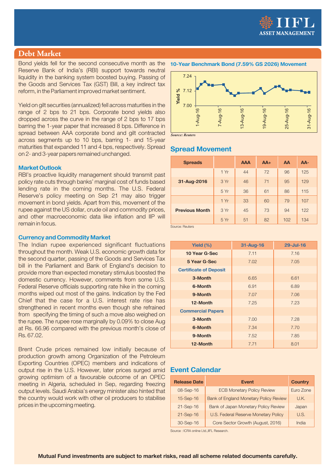

### **Debt Market**

Bond yields fell for the second consecutive month as the Reserve Bank of India's (RBI) support towards neutral liquidity in the banking system boosted buying. Passing of the Goods and Services Tax (GST) Bill, a key indirect tax reform, in the Parliament improved market sentiment.

Yield on gilt securities (annualized) fell across maturities in the range of 2 bps to 21 bps. Corporate bond yields also dropped across the curve in the range of 2 bps to 17 bps barring the 1-year paper that increased 8 bps. Difference in spread between AAA corporate bond and gilt contracted across segments up to 10 bps, barring 1- and 15-year maturities that expanded 11 and 4 bps, respectively. Spread on 2- and 3-year papers remained unchanged.

#### **Market Outlook**

RBI's proactive liquidity management should transmit past policy rate cuts through banks' marginal cost of funds based lending rate in the coming months. The U.S. Federal Reserve's policy meeting on Sep 21 may also trigger movement in bond yields. Apart from this, movement of the rupee against the US dollar, crude oil and commodity prices, and other macroeconomic data like inflation and IIP will remain in focus.

#### **Currency and Commodity Market**

The Indian rupee experienced significant fluctuations throughout the month. Weak U.S. economic growth data for the second quarter, passing of the Goods and Services Tax bill in the Parliament and Bank of England's decision to provide more than expected monetary stimulus boosted the domestic currency. However, comments from some U.S. Federal Reserve officials supporting rate hike in the coming months wiped out most of the gains. Indication by the Fed Chief that the case for a U.S. interest rate rise has strengthened in recent months even though she refrained from specifying the timing of such a move also weighed on the rupee. The rupee rose marginally by 0.09% to close Aug at Rs. 66.96 compared with the previous month's close of Rs. 67.02.

Brent Crude prices remained low initially because of production growth among Organization of the Petroleum Exporting Countries (OPEC) members and indications of output rise in the U.S. However, later prices surged amid growing optimism of a favourable outcome of an OPEC meeting in Algeria, scheduled in Sep, regarding freezing output levels. Saudi Arabia's energy minister also hinted that the country would work with other oil producers to stabilise prices in the upcoming meeting.

#### 10-Year Benchmark Bond (7.59% GS 2026) Movement



Source: Reuters

### **Spread Movement**

| <b>Spreads</b>        |      | <b>AAA</b> | $AA+$ | AA  | AA- |
|-----------------------|------|------------|-------|-----|-----|
|                       | 1 Yr | 44         | 72    | 96  | 125 |
| 31-Aug-2016           | 3 Yr | 46         | 71    | 95  | 129 |
|                       | 5 Yr | 36         | 61    | 86  | 115 |
|                       | 1Yr  | 33         | 60    | 79  | 107 |
| <b>Previous Month</b> | 3 Yr | 45         | 73    | 94  | 122 |
| Source: Doutore       | 5 Yr | 51         | 82    | 102 | 134 |

| Yield $(\%)$                  | 31-Aug-16 | 29-Jul-16 |
|-------------------------------|-----------|-----------|
| 10 Year G-Sec                 | 7.11      | 7.16      |
| 5 Year G-Sec                  | 7.02      | 7.05      |
| <b>Certificate of Deposit</b> |           |           |
| 3-Month                       | 6.65      | 6.61      |
| 6-Month                       | 6.91      | 6.89      |
| 9-Month                       | 7.07      | 7.06      |
| 12-Month                      | 7.25      | 7.23      |
| <b>Commercial Papers</b>      |           |           |
| 3-Month                       | 7.00      | 7.28      |
| 6-Month                       | 7.34      | 7.70      |
| 9-Month                       | 7.52      | 7.85      |
| 12-Month                      | 7.71      | 8.01      |

### **Event Calendar**

| <b>Release Date</b> | <b>Event</b>                           | <b>Country</b> |
|---------------------|----------------------------------------|----------------|
| 08-Sep-16           | <b>ECB Monetary Policy Review</b>      | Euro Zone      |
| 15-Sep-16           | Bank of England Monetary Policy Review | U.K.           |
| 21-Sep-16           | Bank of Japan Monetary Policy Review   | Japan          |
| 21-Sep-16           | U.S. Federal Reserve Monetary Policy   | U.S.           |
| 30-Sep-16           | Core Sector Growth (August, 2016)      | India          |

Source : ICRA online Ltd., IIFL Research.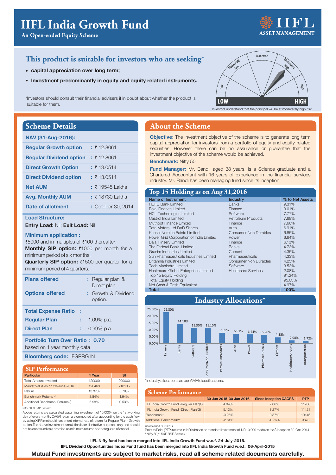An Open-ended Equity Scheme

### This product is suitable for investors who are seeking\*

- capital appreciation over long term;
- Investment predominantly in equity and equity related instruments.

\*Investors should consult their financial advisers if in doubt about whether the product is suitable for them.

### **Scheme Details**

| NAV (31-Aug-2016):             |                    |
|--------------------------------|--------------------|
| <b>Regular Growth option</b>   | : ₹12.8061         |
| <b>Regular Dividend option</b> | : ₹12.8061         |
| <b>Direct Growth Option</b>    | : ₹13.0514         |
| <b>Direct Dividend option</b>  | : 713.0514         |
| <b>Net AUM</b>                 | $: 719545$ I akhs  |
| <b>Avg. Monthly AUM</b>        | $: ₹18730$ l akhs  |
| Date of allotment              | : October 30, 2014 |

#### **Load Structure:**

Entry Load: Nil; Exit Load: Nil

#### **Minimum application:**

₹5000 and in multiples of ₹100 thereafter. Monthly SIP option: ₹1000 per month for a minimum period of six months.

Quarterly SIP option: ₹1500 per quarter for a minimum period of 4 quarters.

| <b>Plans offered</b><br><b>Options offered</b> | : Regular plan &<br>Direct plan.<br>: Growth & Dividend<br>option. |
|------------------------------------------------|--------------------------------------------------------------------|
| <b>Total Expense Ratio:</b>                    |                                                                    |
| <b>Regular Plan</b>                            | 1.09% p.a.                                                         |
| <b>Direct Plan</b>                             | $0.99\%$ p.a.                                                      |

**Portfolio Turn Over Ratio: 0.70** based on 1 year monthly data

**Bloomberg code: IIFGRRG IN** 

#### **SIP Performance**

| <b>Particular</b>               | 1 Year | SI     |
|---------------------------------|--------|--------|
| <b>Total Amount invested</b>    | 120000 | 200000 |
| Market Value as on 30-June-2016 | 128463 | 210105 |
| Return                          | 13.37% | 5.78%  |
| Benchmark Returns ^             | 8.84%  | 1.94%  |
| Additional Benchmark Returns S  | 6.98%  | 0.53%  |

Nifty 50, \$ S&P Sensex

Above returns are calculated assuming investment of 10,000/- on the 1st working day of every month. CAGR return are computed after accounting for the cash flow by using XIRR method (investment internal rate of return) for Regular Plan - Growth option. The above investment simulation is for illustrative purposes only and should not be construed as a promise on minimum returns and safeguard of capital.

### **About the Scheme**

Objective: The investment objective of the scheme is to generate long term capital appreciation for investors from a portfolio of equity and equity related securities. However there can be no assurance or guarantee that the investment objective of the scheme would be achieved.

#### **Benchmark: Nifty 50**

Fund Manager: Mr. Bandi, aged 38 years, is a Science graduate and a Chartered Accountant with 16 years of experience in the financial services industry. Mr. Bandi has been managing fund since its inception.

#### Top 15 Holding as on Aug 31,2016

| Name of Instrument                      | Industry                     | % to Net Assets |
|-----------------------------------------|------------------------------|-----------------|
| <b>HDFC Bank Limited</b>                | <b>Banks</b>                 | 9.31%           |
| Bajaj Finance Limited                   | Finance                      | 9.01%           |
| <b>HCL Technologies Limited</b>         | Software                     | 7.77%           |
| Castrol India Limited                   | <b>Petroleum Products</b>    | 7.69%           |
| Muthoot Finance Limited                 | Finance                      | 7.66%           |
| <b>Tata Motors Ltd DVR Shares</b>       | Auto                         | 6.91%           |
| Kansai Nerolac Paints Limited           | <b>Consumer Non Durables</b> | 6.85%           |
| Power Grid Corporation of India Limited | Power                        | 6.64%           |
| Bajaj Finserv Limited                   | Finance                      | 6.13%           |
| The Federal Bank Limited                | <b>Banks</b>                 | 4.73%           |
| Grasim Industries Limited               | Cement                       | 4.35%           |
| Sun Pharmaceuticals Industries Limited  | Pharmaceuticals              | 4.33%           |
| Britannia Industries Limited            | <b>Consumer Non Durables</b> | 4.25%           |
| Tech Mahindra Limited                   | Software                     | 3.53%           |
| Healthcare Global Enterprises Limited   | <b>Healthcare Services</b>   | 2.08%           |
| Top 15 Equity Holding                   |                              | 91.24%          |
| <b>Total Equity Holding</b>             |                              | 95.03%          |
| Net Cash & Cash Equivalent              |                              | 4.97%           |
| Total                                   |                              | 100%            |

### **Industry Allocations\***



\*Industry allocations as per AMFI classifications

| <b>Scheme Performance</b>               |                         |                               |            |
|-----------------------------------------|-------------------------|-------------------------------|------------|
|                                         | 30 Jun 2015-30 Jun 2016 | <b>Since Inception CAGR\$</b> | <b>PTP</b> |
| IFL India Growth Fund - Regular Plan(G) | 4.04%                   | 7.06%                         | 11208      |
| IFL India Growth Fund - Direct Plan(G)  | 5.13%                   | 8.27%                         | 11421      |
| Benchmark*                              | $-0.96%$                | 0.87%                         | 10145      |
| Additional Benchmark**                  | $-2.81%$                | $-0.76%$                      | 9873       |

As on June 30, 2016

Point to Point (PTP) returns in INR is based on standard investment of INR 10,000 made on the \$ inception 30-Oct-2014<br>\*Nifty 50,\*\* S&P BSE Sensex

IIFL Nifty fund has been merged into IIFL India Growth Fund w.e.f. 24-July-2015.

IIFL Dividend Opportunities Index Fund fund has been merged into IIFL India Growth Fund w.e.f. 06-April-2015

Mutual Fund investments are subject to market risks, read all scheme related documents carefully.



Investors understand that the principal will be at moderately high risk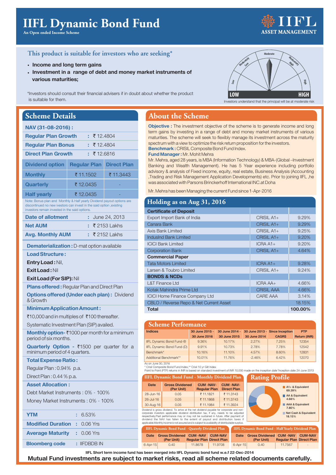# **IIFL Dynamic Bond Fund**

An Open ended Income Scheme

## T K' *<u>ISSET MANAGEMENT</u>*

### This product is suitable for investors who are seeking\*

- Income and long term gains
- Investment in a range of debt and money market instruments of various maturities:

\*Investors should consult their financial advisers if in doubt about whether the product is suitable for them.

### **Scheme Details**

| NAV (31-08-2016):                                                                                                                                                                                |                     |                    |  |  |  |  |
|--------------------------------------------------------------------------------------------------------------------------------------------------------------------------------------------------|---------------------|--------------------|--|--|--|--|
| <b>Regular Plan Growth</b>                                                                                                                                                                       | : ₹12.4804          |                    |  |  |  |  |
| <b>Regular Plan Bonus</b>                                                                                                                                                                        | : ₹12.4804          |                    |  |  |  |  |
| <b>Direct Plan Growth</b>                                                                                                                                                                        | : ₹12.6816          |                    |  |  |  |  |
| <b>Dividend option</b>                                                                                                                                                                           | <b>Regular Plan</b> | <b>Direct Plan</b> |  |  |  |  |
| <b>Monthly</b>                                                                                                                                                                                   | ₹ 11.1502           | ₹ 11.3443          |  |  |  |  |
| <b>Quarterly</b>                                                                                                                                                                                 | ₹12.0435            |                    |  |  |  |  |
| <b>Half yearly</b>                                                                                                                                                                               | ₹12.0435            |                    |  |  |  |  |
| Note: Bonus plan and Monthly & Half yearly Dividend payout options are<br>discontinued no new ivestors can invest in the said option, existing<br>investors remain invested in the said options. |                     |                    |  |  |  |  |
| <b>Date of allotment</b><br>June 24, 2013                                                                                                                                                        |                     |                    |  |  |  |  |
| <b>Net AUM</b>                                                                                                                                                                                   |                     | : ₹ 2153 Lakhs     |  |  |  |  |

| <b>Net AUM</b>          | $\div$ ₹ 2153 Lakhs |
|-------------------------|---------------------|
| <b>Avg. Monthly AUM</b> | $\pm$ ₹ 2152 Lakhs  |

### **Dematerialization :** D-mat option available

**Load Structure:** 

Entry Load: Nil,

Exit Load: Nil

Exit Load (For SIP): Nil

**Plans offered: Reqular Plan and Direct Plan Options offered (Under each plan): Dividend** & Growth

**Minimum Application Amount:** 

₹10,000 and in multiples of ₹100 thereafter.

Systematic Investment Plan (SIP) availed.

Monthly option- $\bar{\tau}$ 1000 per month for a minimum period of six months.

Quarterly Option - ₹1500 per quarter for a minimum period of 4 quarters.

#### **Total Expense Ratio:**

Regular Plan: 0.94% p.a.

Direct Plan: 0.44 % p.a.

#### **Asset Allocation:**

Debt Market Instruments: 0% - 100% Money Market Instruments: 0% - 100%

| <b>YTM</b>                          | : 6.53%                 |
|-------------------------------------|-------------------------|
| <b>Modified Duration : 0.06 Yrs</b> |                         |
| <b>Average Maturity : 0.06 Yrs</b>  |                         |
| <b>Bloomberg code</b>               | $\therefore$ IIFDBDB IN |

### **About the Scheme**

Objective : The investment objective of the scheme is to generate income and long term gains by investing in a range of debt and money market instruments of various maturities. The scheme will seek to flexibly manage its investment across the maturity spectrum with a view to optimize the risk return proposition for the investors. **Benchmark: CRISIL Composite Bond Fund Index.** Fund Manager: Mr. Mohit Mehra

Mr. Mehra, aged 28 years, is MBA (Information Technology) & MBA-(Global -Investment Banking and Wealth Management). He has 5 Year experience including portfolio advisory & analysis of Fixed income, equity, real estate, Business Analysis (Accounting ,Trading and Risk Management Application Developments) etc. Prior to joining IIFL, he

was associated with Parsons Brinckerhoff International INC.at Doha Mr. Mehra has been Managing the current Fund since 1-Apr-2016

| Holding as on Aug 31, 2016              |                   |         |
|-----------------------------------------|-------------------|---------|
| <b>Certificate of Deposit</b>           |                   |         |
| Export Import Bank of India             | $CRISIL A1+$      | 9.29%   |
| Canara Bank                             | CRISIL A1+        | 9.29%   |
| Axis Bank Limited                       | $CRISIL A1+$      | 9.25%   |
| IndusInd Bank Limited                   | CRISIL A1+        | 9.20%   |
| <b>ICICI Bank Limited</b>               | $ICRAA1+$         | 9.20%   |
| <b>Corporation Bank</b>                 | CRISIL A1+        | 4.64%   |
| <b>Commercial Paper</b>                 |                   |         |
| <b>Tata Motors Limited</b>              | $ICRA A1+$        | 9.28%   |
| Larsen & Toubro Limited                 | CRISIL A1+        | 9.24%   |
| <b>BONDS &amp; NCDs</b>                 |                   |         |
| <b>L&amp;T Finance Ltd</b>              | ICRA AA+          | 4.66%   |
| Kotak Mahindra Prime Ltd                | <b>CRISIL AAA</b> | 4.66%   |
| <b>ICICI Home Finance Company Ltd</b>   | CARE AAA          | 3.14%   |
| CBLO / Reverse Repo & Net Current Asset |                   | 18.15%  |
| <b>Total</b>                            |                   | 100.00% |

| <b>Scheme Performance</b> |                |              |              |                                |
|---------------------------|----------------|--------------|--------------|--------------------------------|
| 30 June 2015 -            | 30 June 2014 - |              |              | <b>PTP</b>                     |
| 30 June 2016              | 30 June 2015   | 30 June 2014 | <b>CAGRS</b> | <b>Return (INR)</b>            |
| 9.36%                     | 10.17%         | 2.27%        | 7.25%        | 12354                          |
| 9.91%                     | 10.73%         | 2.78%        | 7.78%        | 12542                          |
| 10.16%                    | 11.10%         | 4.57%        | 8.60%        | 12831                          |
| 10.01%                    | 11.76%         | $-2.46%$     | 6.42%        | 12070                          |
|                           |                |              |              | 30 June 2013 - Since Inception |

As on June 30, 2010<br>\* Crisil Composite Bond Fund Index.\*\* Crisil 10 vr Gilt Index

Point to Point (PTP) returns in INR is based on standard investment of INR 10,000 made on the inception date inception date 24-June-2013

| <b>IIFL Dynamic Bond Fund - Monthly Dividend Plan</b>                                                                                                                                                                                                                                                                                                        | <b>Rating Pro</b>                    |                                        |                                       |  |
|--------------------------------------------------------------------------------------------------------------------------------------------------------------------------------------------------------------------------------------------------------------------------------------------------------------------------------------------------------------|--------------------------------------|----------------------------------------|---------------------------------------|--|
| <b>Date</b>                                                                                                                                                                                                                                                                                                                                                  | <b>Gross Dividened</b><br>(Per Unit) | <b>CUM-NAV-</b><br><b>Regular Plan</b> | <b>CUM-NAV-</b><br><b>Direct Plan</b> |  |
| 28-Jun-16                                                                                                                                                                                                                                                                                                                                                    | 0.05                                 | ₹ 11.1821                              | ₹ 11.3143                             |  |
| $26 -$ Jul-16                                                                                                                                                                                                                                                                                                                                                | 0.05                                 | ₹11.1868                               | ₹ 11.3743                             |  |
| 30-Aug-16                                                                                                                                                                                                                                                                                                                                                    | 0.05                                 | ₹ 11.1984                              | ₹ 11.3924                             |  |
| Dividend is gross dividend. To arrive at the net dividend payable for corporate and non-<br>corporate investors applicable dividend distribution tax, if any, needs to be adjusted<br>respectively.Past performance may or may not be sustained in future. After payment of<br>dividend the NAV has fallen to the extent of payout and distribution taxes if |                                      |                                        |                                       |  |

responsively as a performance may of may not be sustained in in durer. Alternative dividend the NAV has fallen to the extent of payout and distribution taxes if<br>applicable.Monthly income is not assured and is subject to av **IIFL Dynamic Bond Fund - Quaterly Dividend Plan** 

IIFL Dynamic Bond Fund - Half Yearly Dividend Plan Date Gross Dividened CUM-NAV CUM-NAV (Per Unit) **Regular Plan Direct Plan**  $0.40$ 11,7567

əfile

 $A1 + 8$  Equivalent  $60.30%$ 

AA & Equivalent

AAA & Equivalent 780% Net Cash & Equivalent<br>18.15%

Date Gross Dividened CUM -NAV CUM-NAV Regular Plan Direct Plan (Per Unit)  $6-Apr-15$  $0.40$ 11.8678 11.9708  $6 - Apr - 15$ 

| IIFL Short term income fund has been merged into IIFL Dynamic bond fund w.e.f 22-Dec-2014 |  |  |  |  |
|-------------------------------------------------------------------------------------------|--|--|--|--|
| und investments are subject to market risks, read all scheme related documents carefully  |  |  |  |  |

Mutual Fund investments are subject to market risks, read all scheme related documents carerully.



Investors understand that the principal will be at moderate risk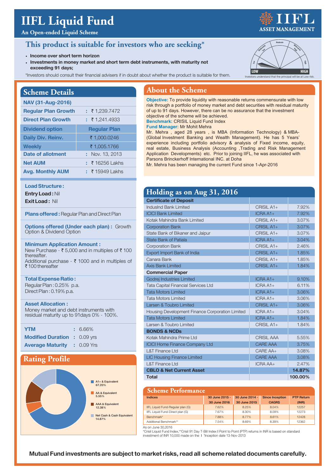# **IIFL Liquid Fund**

### **An Open-ended Liquid Scheme**

### **This product is suitable for investors who are seeking\***

- **·** Income over short term horizon
- **.** Investments in money market and short term debt instruments, with maturity not exceeding 91 days;
- \*Investors should consult their financial advisers if in doubt about whether the product is suitable for them.

| <b>Scheme Details</b>      |                      |
|----------------------------|----------------------|
| NAV (31-Aug-2016)          |                      |
| <b>Regular Plan Growth</b> | : 71.239.7472        |
| <b>Direct Plan Growth</b>  | $: \t{5}$ 1.241.4933 |
| <b>Dividend option</b>     | <b>Regular Plan</b>  |
| <b>Daily Div. Reinv.</b>   | ₹1,000,0246          |
| <b>Weekly</b>              | ₹1,005.1766          |
| Date of allotment          | : Nov. 13, 2013      |
| <b>Net AUM</b>             | $: 716256$ Lakhs     |
| <b>Avg. Monthly AUM</b>    | $\pm$ ₹ 15949 Lakhs  |

#### **Load Structure:**

**Entry Load: Nil** 

**Exit Load: Nil** 

**Plans offered:** Regular Plan and Direct Plan

**Options offered (Under each plan): Growth** Option & Dividend Option

#### **Minimum Application Amount:**

New Purchase -  $\bar{\tau}$  5,000 and in multiples of  $\bar{\tau}$  100 thereafter. Additional purchase -  $\bar{\tau}$  1000 and in multiples of  $\bar{\tau}$  100 thereafter

#### **7otal Expense Ratio:** Reqular Plan: 0.25% p.a.

Direct Plan: 0.19% p.a.

#### **Asset Allocation:**

Money market and debt instruments with residual maturity up to 91 days 0% - 100%.

| <b>YTM</b>                          | $: 6.66\%$ |
|-------------------------------------|------------|
| <b>Modified Duration : 0.09 yrs</b> |            |
| <b>Average Maturity : 0.09 Yrs</b>  |            |

### **Rating Profile**



### **About the Scheme**

**Objective:** To provide liquidity with reasonable returns commensurate with low risk through a portfolio of money market and debt securities with residual maturity of up to 91 days. However, there can be no assurance that the investment objective of the scheme will be achieved.

**Benchmark:** CRISIL Liquid Fund Index

**Fund Manager:** Mr Mohit Mehra

Mr. Mehra , aged 28 years , is MBA (Information Technology) & MBA- (Global Investment Banking and Wealth Management). He has 5 Years' experience including portfolio advisory & analysis of Fixed income, equity, real estate, Business Analysis (Accounting ,Trading and Risk Management Application Developments) etc. Prior to joining IIFL, he was associated with Parsons Brinckerhoff International INC. at Doha

Mr. Mehra has been managing the current Fund since 1-Apr-2016

### **Holding as on Aug 31, 2016**

| <b>Certificate of Deposit</b>                   |                   |         |
|-------------------------------------------------|-------------------|---------|
| IndusInd Bank Limited                           | $CRISII A1+$      | 7.92%   |
| <b>ICICI Bank Limited</b>                       | $ICRAA1+$         | 7.92%   |
| Kotak Mahindra Bank Limited                     | CRISIL A1+        | 3.07%   |
| <b>Corporation Bank</b>                         | CRISIL A1+        | 3.07%   |
| State Bank of Bikaner and Jaipur                | CRISIL A1+        | 3.07%   |
| <b>State Bank of Patiala</b>                    | $ICRAA1+$         | 3.04%   |
| <b>Corporation Bank</b>                         | CRISIL A1+        | 2.46%   |
| Export Import Bank of India                     | CRISIL A1+        | 1.85%   |
| Canara Bank                                     | CRISIL A1+        | 1.85%   |
| <b>Axis Bank Limited</b>                        | CRISIL A1+        | 1.84%   |
| <b>Commercial Paper</b>                         |                   |         |
| Godrej Industries Limited                       | $ICRAA1+$         | 9.10%   |
| <b>Tata Capital Financial Services Ltd</b>      | $ICRAA1+$         | 6.11%   |
| <b>Tata Motors Limited</b>                      | $ICRAA1+$         | 3.06%   |
| <b>Tata Motors Limited</b>                      | $ICRAA1+$         | 3.06%   |
| Larsen & Toubro Limited                         | CRISIL A1+        | 3.06%   |
| Housing Development Finance Corporation Limited | $ICRAA1+$         | 3.04%   |
| <b>Tata Motors Limited</b>                      | $ICRAA1+$         | 1.84%   |
| Larsen & Toubro Limited                         | CRISIL A1+        | 1.84%   |
| <b>BONDS &amp; NCDs</b>                         |                   |         |
| Kotak Mahindra Prime Ltd                        | <b>CRISIL AAA</b> | 5.55%   |
| <b>ICICI Home Finance Company Ltd</b>           | <b>CARE AAA</b>   | 3.75%   |
| <b>L&amp;T Finance Ltd</b>                      | CARE AA+          | 3.08%   |
| <b>LIC Housing Finance Limited</b>              | <b>CARE AAA</b>   | 3.08%   |
| <b>L&amp;T Finance Ltd</b>                      | ICRA AA+          | 2.47%   |
| <b>CBLO &amp; Net Current Asset</b>             |                   | 14.87%  |
| <b>Total</b>                                    |                   | 100.00% |

| <b>Scheme Performance</b>         |                |                |                        |                   |  |  |  |
|-----------------------------------|----------------|----------------|------------------------|-------------------|--|--|--|
| <b>Indices</b>                    | 30 June 2015 - | 30 June 2014 - | <b>Since Inception</b> | <b>PTP Return</b> |  |  |  |
|                                   | 30 June 2016   | 30 June 2015   | <b>CAGRS</b>           | (INR)             |  |  |  |
| IIFL Liquid Fund-Regular plan (G) | 7.62%          | 8.25%          | 8.04%                  | 12257             |  |  |  |
| IIFL Liquid Fund-Direct plan (G)  | 7.67%          | 8.30%          | 8.09%                  | 12273             |  |  |  |
| Benchmark*                        | 7.88%          | 8.77%          | 8.61%                  | 12428             |  |  |  |
| Additional Benchmark**            | 7.54%          | 8.69%          | 8.39%                  | 12362             |  |  |  |

As on June 30,2016

\*Crisil Liquid Fund Index,\*\*Crisil 91 Day T-Bill Index I Point to Point (PTP) returns in INR is based on standard investment of INR 10,000 made on the I<sup>s</sup>Inception date 13-Nov-2013

Mutual Fund investments are subject to market risks, read all scheme related documents carefully.